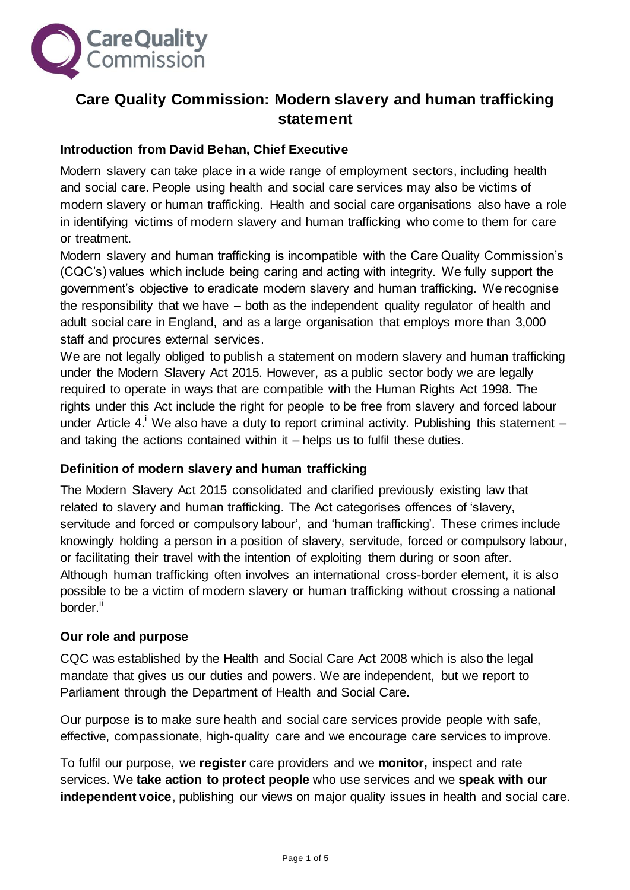

# **Care Quality Commission: Modern slavery and human trafficking statement**

#### **Introduction from David Behan, Chief Executive**

Modern slavery can take place in a wide range of employment sectors, including health and social care. People using health and social care services may also be victims of modern slavery or human trafficking. Health and social care organisations also have a role in identifying victims of modern slavery and human trafficking who come to them for care or treatment.

Modern slavery and human trafficking is incompatible with the Care Quality Commission's (CQC's) values which include being caring and acting with integrity. We fully support the government's objective to eradicate modern slavery and human trafficking. We recognise the responsibility that we have – both as the independent quality regulator of health and adult social care in England, and as a large organisation that employs more than 3,000 staff and procures external services.

We are not legally obliged to publish a statement on modern slavery and human trafficking under the Modern Slavery Act 2015. However, as a public sector body we are legally required to operate in ways that are compatible with the Human Rights Act 1998. The rights under this Act include the right for people to be free from slavery and forced labour under Article 4.<sup>i</sup> We also have a duty to report criminal activity. Publishing this statement  $$ and taking the actions contained within it – helps us to fulfil these duties.

#### **Definition of modern slavery and human trafficking**

The Modern Slavery Act 2015 consolidated and clarified previously existing law that related to slavery and human trafficking. The Act categorises offences of 'slavery, servitude and forced or compulsory labour', and 'human trafficking'. These crimes include knowingly holding a person in a position of slavery, servitude, forced or compulsory labour, or facilitating their travel with the intention of exploiting them during or soon after. Although human trafficking often involves an international cross-border element, it is also possible to be a victim of modern slavery or human trafficking without crossing a national border.<sup>ii</sup>

#### **Our role and purpose**

CQC was established by the Health and Social Care Act 2008 which is also the legal mandate that gives us our duties and powers. We are independent, but we report to Parliament through the Department of Health and Social Care.

Our purpose is to make sure health and social care services provide people with safe, effective, compassionate, high-quality care and we encourage care services to improve.

To fulfil our purpose, we **register** care providers and we **monitor,** inspect and rate services. We **take action to protect people** who use services and we **speak with our independent voice**, publishing our views on major quality issues in health and social care.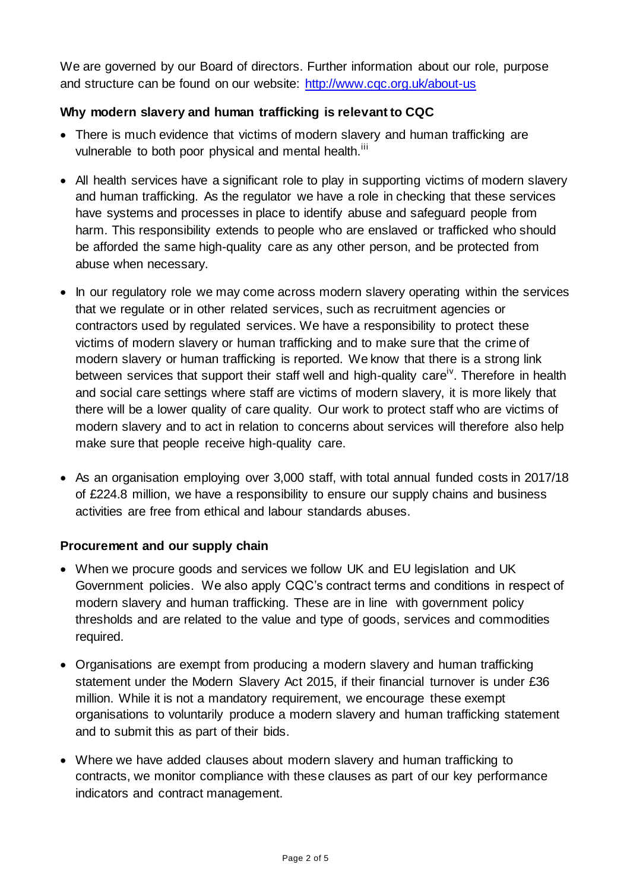We are governed by our Board of directors. Further information about our role, purpose and structure can be found on our website:<http://www.cqc.org.uk/about-us>

## **Why modern slavery and human trafficking is relevant to CQC**

- There is much evidence that victims of modern slavery and human trafficking are vulnerable to both poor physical and mental health.<sup>iii</sup>
- All health services have a significant role to play in supporting victims of modern slavery and human trafficking. As the regulator we have a role in checking that these services have systems and processes in place to identify abuse and safeguard people from harm. This responsibility extends to people who are enslaved or trafficked who should be afforded the same high-quality care as any other person, and be protected from abuse when necessary.
- In our regulatory role we may come across modern slavery operating within the services that we regulate or in other related services, such as recruitment agencies or contractors used by regulated services. We have a responsibility to protect these victims of modern slavery or human trafficking and to make sure that the crime of modern slavery or human trafficking is reported. We know that there is a strong link between services that support their staff well and high-quality careiv. Therefore in health and social care settings where staff are victims of modern slavery, it is more likely that there will be a lower quality of care quality. Our work to protect staff who are victims of modern slavery and to act in relation to concerns about services will therefore also help make sure that people receive high-quality care.
- As an organisation employing over 3,000 staff, with total annual funded costs in 2017/18 of £224.8 million, we have a responsibility to ensure our supply chains and business activities are free from ethical and labour standards abuses.

### **Procurement and our supply chain**

- When we procure goods and services we follow UK and EU legislation and UK Government policies. We also apply CQC's contract terms and conditions in respect of modern slavery and human trafficking. These are in line with government policy thresholds and are related to the value and type of goods, services and commodities required.
- Organisations are exempt from producing a modern slavery and human trafficking statement under the Modern Slavery Act 2015, if their financial turnover is under £36 million. While it is not a mandatory requirement, we encourage these exempt organisations to voluntarily produce a modern slavery and human trafficking statement and to submit this as part of their bids.
- Where we have added clauses about modern slavery and human trafficking to contracts, we monitor compliance with these clauses as part of our key performance indicators and contract management.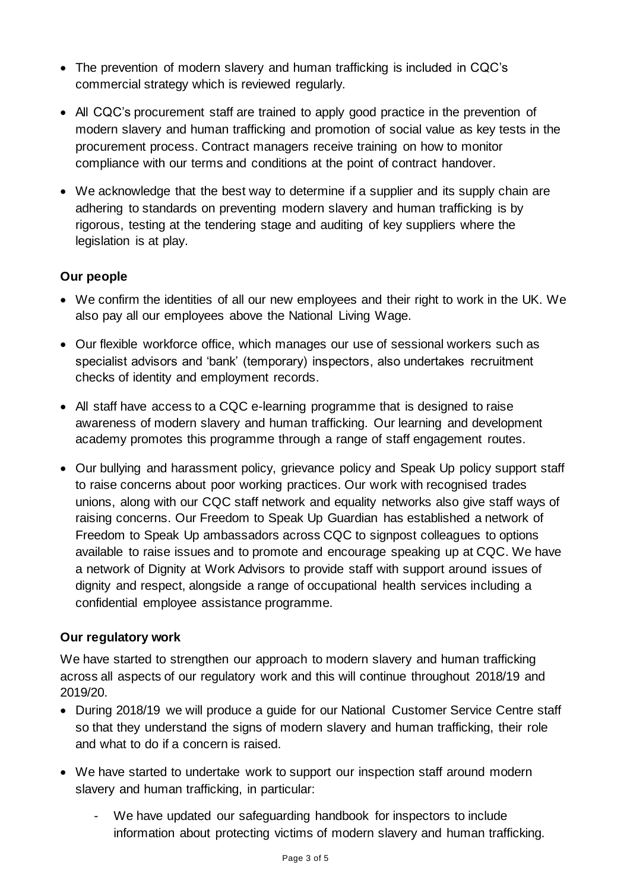- The prevention of modern slavery and human trafficking is included in CQC's commercial strategy which is reviewed regularly.
- All CQC's procurement staff are trained to apply good practice in the prevention of modern slavery and human trafficking and promotion of social value as key tests in the procurement process. Contract managers receive training on how to monitor compliance with our terms and conditions at the point of contract handover.
- We acknowledge that the best way to determine if a supplier and its supply chain are adhering to standards on preventing modern slavery and human trafficking is by rigorous, testing at the tendering stage and auditing of key suppliers where the legislation is at play.

### **Our people**

- We confirm the identities of all our new employees and their right to work in the UK. We also pay all our employees above the National Living Wage.
- Our flexible workforce office, which manages our use of sessional workers such as specialist advisors and 'bank' (temporary) inspectors, also undertakes recruitment checks of identity and employment records.
- All staff have access to a CQC e-learning programme that is designed to raise awareness of modern slavery and human trafficking. Our learning and development academy promotes this programme through a range of staff engagement routes.
- Our bullying and harassment policy, grievance policy and Speak Up policy support staff to raise concerns about poor working practices. Our work with recognised trades unions, along with our CQC staff network and equality networks also give staff ways of raising concerns. Our Freedom to Speak Up Guardian has established a network of Freedom to Speak Up ambassadors across CQC to signpost colleagues to options available to raise issues and to promote and encourage speaking up at CQC. We have a network of Dignity at Work Advisors to provide staff with support around issues of dignity and respect, alongside a range of occupational health services including a confidential employee assistance programme.

#### **Our regulatory work**

We have started to strengthen our approach to modern slavery and human trafficking across all aspects of our regulatory work and this will continue throughout 2018/19 and 2019/20.

- During 2018/19 we will produce a guide for our National Customer Service Centre staff so that they understand the signs of modern slavery and human trafficking, their role and what to do if a concern is raised.
- We have started to undertake work to support our inspection staff around modern slavery and human trafficking, in particular:
	- We have updated our safeguarding handbook for inspectors to include information about protecting victims of modern slavery and human trafficking.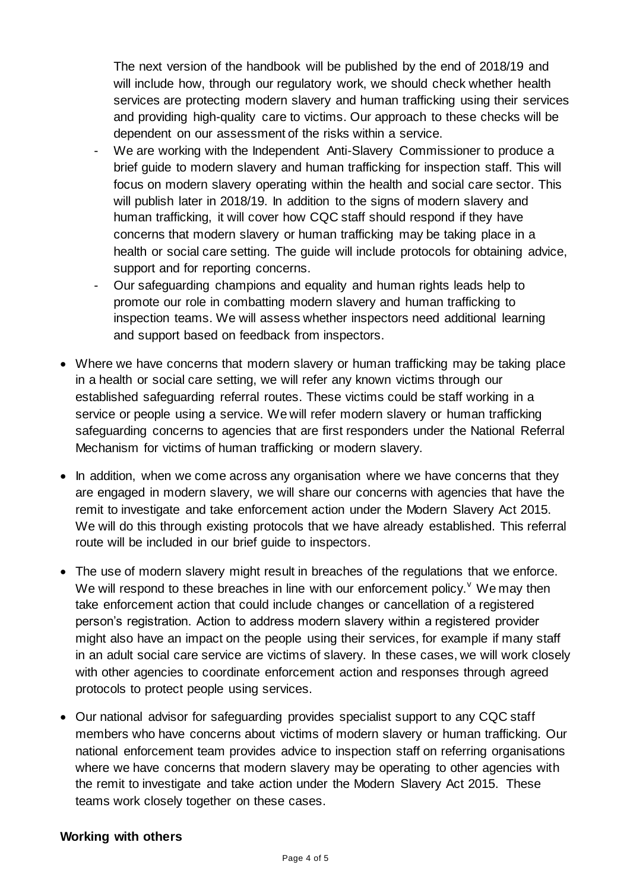The next version of the handbook will be published by the end of 2018/19 and will include how, through our regulatory work, we should check whether health services are protecting modern slavery and human trafficking using their services and providing high-quality care to victims. Our approach to these checks will be dependent on our assessment of the risks within a service.

- We are working with the Independent Anti-Slavery Commissioner to produce a brief guide to modern slavery and human trafficking for inspection staff. This will focus on modern slavery operating within the health and social care sector. This will publish later in 2018/19. In addition to the signs of modern slavery and human trafficking, it will cover how CQC staff should respond if they have concerns that modern slavery or human trafficking may be taking place in a health or social care setting. The guide will include protocols for obtaining advice, support and for reporting concerns.
- Our safeguarding champions and equality and human rights leads help to promote our role in combatting modern slavery and human trafficking to inspection teams. We will assess whether inspectors need additional learning and support based on feedback from inspectors.
- Where we have concerns that modern slavery or human trafficking may be taking place in a health or social care setting, we will refer any known victims through our established safeguarding referral routes. These victims could be staff working in a service or people using a service. We will refer modern slavery or human trafficking safeguarding concerns to agencies that are first responders under the National Referral Mechanism for victims of human trafficking or modern slavery.
- In addition, when we come across any organisation where we have concerns that they are engaged in modern slavery, we will share our concerns with agencies that have the remit to investigate and take enforcement action under the Modern Slavery Act 2015. We will do this through existing protocols that we have already established. This referral route will be included in our brief guide to inspectors.
- The use of modern slavery might result in breaches of the regulations that we enforce. We will respond to these breaches in line with our enforcement policy.  $\theta$  We may then take enforcement action that could include changes or cancellation of a registered person's registration. Action to address modern slavery within a registered provider might also have an impact on the people using their services, for example if many staff in an adult social care service are victims of slavery. In these cases, we will work closely with other agencies to coordinate enforcement action and responses through agreed protocols to protect people using services.
- Our national advisor for safeguarding provides specialist support to any CQC staff members who have concerns about victims of modern slavery or human trafficking. Our national enforcement team provides advice to inspection staff on referring organisations where we have concerns that modern slavery may be operating to other agencies with the remit to investigate and take action under the Modern Slavery Act 2015. These teams work closely together on these cases.

#### **Working with others**